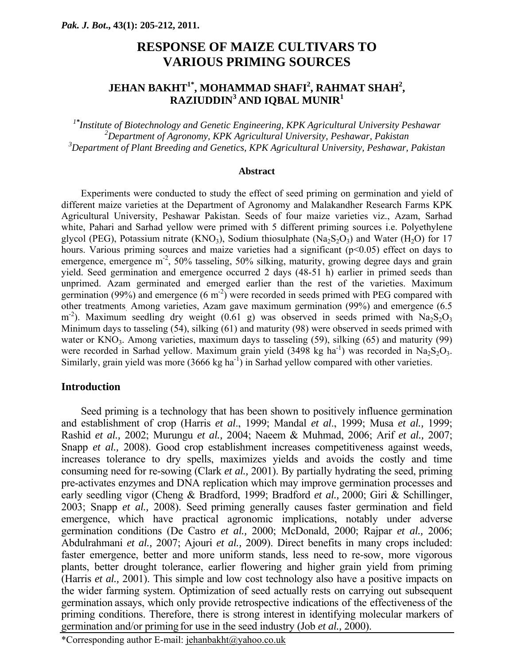## **RESPONSE OF MAIZE CULTIVARS TO VARIOUS PRIMING SOURCES**

## **JEHAN BAKHT1\*, MOHAMMAD SHAFI2 , RAHMAT SHAH2 , RAZIUDDIN3 AND IQBAL MUNIR1**

*1\* Institute of Biotechnology and Genetic Engineering, KPK Agricultural University Peshawar 2 Department of Agronomy, KPK Agricultural University, Peshawar, Pakistan 3 Department of Plant Breeding and Genetics, KPK Agricultural University, Peshawar, Pakistan* 

#### **Abstract**

Experiments were conducted to study the effect of seed priming on germination and yield of different maize varieties at the Department of Agronomy and Malakandher Research Farms KPK Agricultural University, Peshawar Pakistan. Seeds of four maize varieties viz., Azam, Sarhad white, Pahari and Sarhad yellow were primed with 5 different priming sources i.e. Polyethylene glycol (PEG), Potassium nitrate (KNO<sub>3</sub>), Sodium thiosulphate (Na<sub>2</sub>S<sub>2</sub>O<sub>3</sub>) and Water (H<sub>2</sub>O) for 17 hours. Various priming sources and maize varieties had a significant  $(p<0.05)$  effect on days to emergence, emergence m<sup>-2</sup>, 50% tasseling, 50% silking, maturity, growing degree days and grain yield. Seed germination and emergence occurred 2 days (48-51 h) earlier in primed seeds than unprimed. Azam germinated and emerged earlier than the rest of the varieties. Maximum germination (99%) and emergence  $(6 \text{ m}^2)$  were recorded in seeds primed with PEG compared with other treatments. Among varieties, Azam gave maximum germination (99%) and emergence (6.5  $\rm m^{-2}$ ). Maximum seedling dry weight (0.61 g) was observed in seeds primed with Na<sub>2</sub>S<sub>2</sub>O<sub>3</sub> Minimum days to tasseling (54), silking (61) and maturity (98) were observed in seeds primed with water or  $KNO_3$ . Among varieties, maximum days to tasseling (59), silking (65) and maturity (99) were recorded in Sarhad yellow. Maximum grain yield (3498 kg ha<sup>-1</sup>) was recorded in Na<sub>2</sub>S<sub>2</sub>O<sub>3</sub>. Similarly, grain yield was more  $(3666 \text{ kg ha}^{-1})$  in Sarhad yellow compared with other varieties.

#### **Introduction**

Seed priming is a technology that has been shown to positively influence germination and establishment of crop (Harris *et al*., 1999; Mandal *et al*., 1999; Musa *et al.,* 1999; Rashid *et al.,* 2002; Murungu *et al.,* 2004; Naeem & Muhmad, 2006; Arif *et al.,* 2007; Snapp *et al.,* 2008). Good crop establishment increases competitiveness against weeds, increases tolerance to dry spells, maximizes yields and avoids the costly and time consuming need for re-sowing (Clark *et al.,* 2001). By partially hydrating the seed, priming pre-activates enzymes and DNA replication which may improve germination processes and early seedling vigor (Cheng & Bradford, 1999; Bradford *et al.,* 2000; Giri & Schillinger, 2003; Snapp *et al.,* 2008). Seed priming generally causes faster germination and field emergence, which have practical agronomic implications, notably under adverse germination conditions (De Castro *et al.,* 2000; McDonald, 2000; Rajpar *et al.,* 2006; Abdulrahmani *et al.,* 2007; Ajouri *et al.,* 2009). Direct benefits in many crops included: faster emergence, better and more uniform stands, less need to re-sow, more vigorous plants, better drought tolerance, earlier flowering and higher grain yield from priming (Harris *et al.,* 2001). This simple and low cost technology also have a positive impacts on the wider farming system. Optimization of seed actually rests on carrying out subsequent germination assays, which only provide retrospective indications of the effectiveness of the priming conditions. Therefore, there is strong interest in identifying molecular markers of germination and/or priming for use in the seed industry (Job *et al.,* 2000).

\*Corresponding author E-mail: jehanbakht@yahoo.co.uk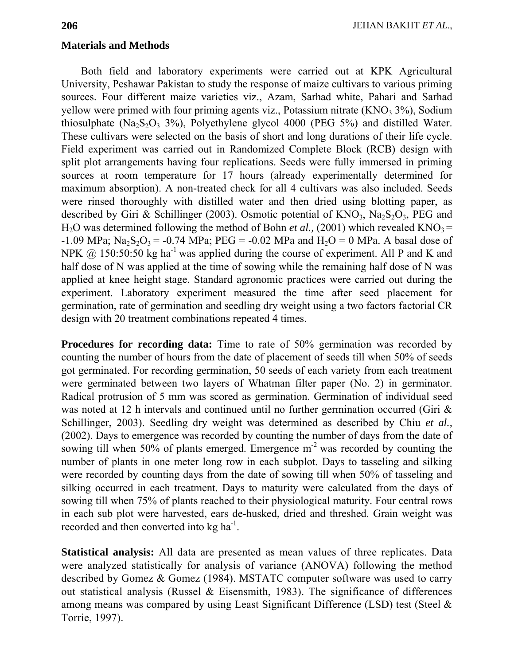#### **Materials and Methods**

Both field and laboratory experiments were carried out at KPK Agricultural University, Peshawar Pakistan to study the response of maize cultivars to various priming sources. Four different maize varieties viz., Azam, Sarhad white, Pahari and Sarhad yellow were primed with four priming agents viz., Potassium nitrate  $(KNO<sub>3</sub> 3%)$ , Sodium thiosulphate  $(Na_2S_2O_3 3\%)$ , Polyethylene glycol 4000 (PEG 5%) and distilled Water. These cultivars were selected on the basis of short and long durations of their life cycle. Field experiment was carried out in Randomized Complete Block (RCB) design with split plot arrangements having four replications. Seeds were fully immersed in priming sources at room temperature for 17 hours (already experimentally determined for maximum absorption). A non-treated check for all 4 cultivars was also included. Seeds were rinsed thoroughly with distilled water and then dried using blotting paper, as described by Giri & Schillinger (2003). Osmotic potential of  $KNO_3$ ,  $Na_2S_2O_3$ , PEG and H<sub>2</sub>O was determined following the method of Bohn *et al.*, (2001) which revealed KNO<sub>3</sub> =  $-1.09$  MPa; Na<sub>2</sub>S<sub>2</sub>O<sub>3</sub> =  $-0.74$  MPa; PEG =  $-0.02$  MPa and H<sub>2</sub>O = 0 MPa. A basal dose of NPK  $\omega$  150:50:50 kg ha<sup>-1</sup> was applied during the course of experiment. All P and K and half dose of N was applied at the time of sowing while the remaining half dose of N was applied at knee height stage. Standard agronomic practices were carried out during the experiment. Laboratory experiment measured the time after seed placement for germination, rate of germination and seedling dry weight using a two factors factorial CR design with 20 treatment combinations repeated 4 times.

**Procedures for recording data:** Time to rate of 50% germination was recorded by counting the number of hours from the date of placement of seeds till when 50% of seeds got germinated. For recording germination, 50 seeds of each variety from each treatment were germinated between two layers of Whatman filter paper (No. 2) in germinator. Radical protrusion of 5 mm was scored as germination. Germination of individual seed was noted at 12 h intervals and continued until no further germination occurred (Giri & Schillinger, 2003). Seedling dry weight was determined as described by Chiu *et al.,* (2002). Days to emergence was recorded by counting the number of days from the date of sowing till when 50% of plants emerged. Emergence  $m<sup>2</sup>$  was recorded by counting the number of plants in one meter long row in each subplot. Days to tasseling and silking were recorded by counting days from the date of sowing till when 50% of tasseling and silking occurred in each treatment. Days to maturity were calculated from the days of sowing till when 75% of plants reached to their physiological maturity. Four central rows in each sub plot were harvested, ears de-husked, dried and threshed. Grain weight was recorded and then converted into  $kg \, ha^{-1}$ .

**Statistical analysis:** All data are presented as mean values of three replicates. Data were analyzed statistically for analysis of variance (ANOVA) following the method described by Gomez & Gomez (1984). MSTATC computer software was used to carry out statistical analysis (Russel & Eisensmith, 1983). The significance of differences among means was compared by using Least Significant Difference (LSD) test (Steel & Torrie, 1997).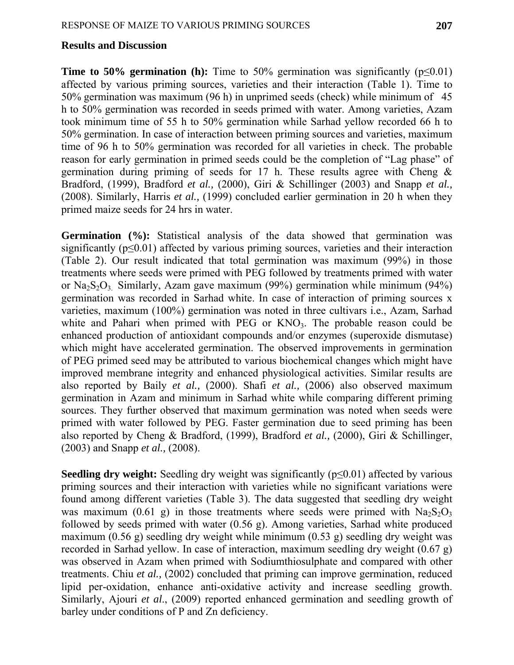### **Results and Discussion**

**Time to 50% germination (h):** Time to 50% germination was significantly ( $p \le 0.01$ ) affected by various priming sources, varieties and their interaction (Table 1). Time to 50% germination was maximum (96 h) in unprimed seeds (check) while minimum of 45 h to 50% germination was recorded in seeds primed with water. Among varieties, Azam took minimum time of 55 h to 50% germination while Sarhad yellow recorded 66 h to 50% germination. In case of interaction between priming sources and varieties, maximum time of 96 h to 50% germination was recorded for all varieties in check. The probable reason for early germination in primed seeds could be the completion of "Lag phase" of germination during priming of seeds for 17 h. These results agree with Cheng  $\&$ Bradford, (1999), Bradford *et al.,* (2000), Giri & Schillinger (2003) and Snapp *et al.,*  (2008). Similarly, Harris *et al.,* (1999) concluded earlier germination in 20 h when they primed maize seeds for 24 hrs in water.

**Germination (%):** Statistical analysis of the data showed that germination was significantly ( $p \le 0.01$ ) affected by various priming sources, varieties and their interaction (Table 2). Our result indicated that total germination was maximum (99%) in those treatments where seeds were primed with PEG followed by treatments primed with water or  $Na<sub>2</sub>S<sub>2</sub>O<sub>3</sub>$ . Similarly, Azam gave maximum (99%) germination while minimum (94%) germination was recorded in Sarhad white. In case of interaction of priming sources x varieties, maximum (100%) germination was noted in three cultivars i.e., Azam, Sarhad white and Pahari when primed with  $PEG \,$  or  $KNO<sub>3</sub>$ . The probable reason could be enhanced production of antioxidant compounds and/or enzymes (superoxide dismutase) which might have accelerated germination. The observed improvements in germination of PEG primed seed may be attributed to various biochemical changes which might have improved membrane integrity and enhanced physiological activities. Similar results are also reported by Baily *et al.,* (2000). Shafi *et al.,* (2006) also observed maximum germination in Azam and minimum in Sarhad white while comparing different priming sources. They further observed that maximum germination was noted when seeds were primed with water followed by PEG. Faster germination due to seed priming has been also reported by Cheng & Bradford, (1999), Bradford *et al.,* (2000), Giri & Schillinger, (2003) and Snapp *et al.,* (2008).

**Seedling dry weight:** Seedling dry weight was significantly (p≤0.01) affected by various priming sources and their interaction with varieties while no significant variations were found among different varieties (Table 3). The data suggested that seedling dry weight was maximum (0.61 g) in those treatments where seeds were primed with  $Na<sub>2</sub>S<sub>2</sub>O<sub>3</sub>$ followed by seeds primed with water (0.56 g). Among varieties, Sarhad white produced maximum (0.56 g) seedling dry weight while minimum (0.53 g) seedling dry weight was recorded in Sarhad yellow. In case of interaction, maximum seedling dry weight (0.67 g) was observed in Azam when primed with Sodiumthiosulphate and compared with other treatments. Chiu *et al.,* (2002) concluded that priming can improve germination, reduced lipid per-oxidation, enhance anti-oxidative activity and increase seedling growth. Similarly, Ajouri *et al*., (2009) reported enhanced germination and seedling growth of barley under conditions of P and Zn deficiency.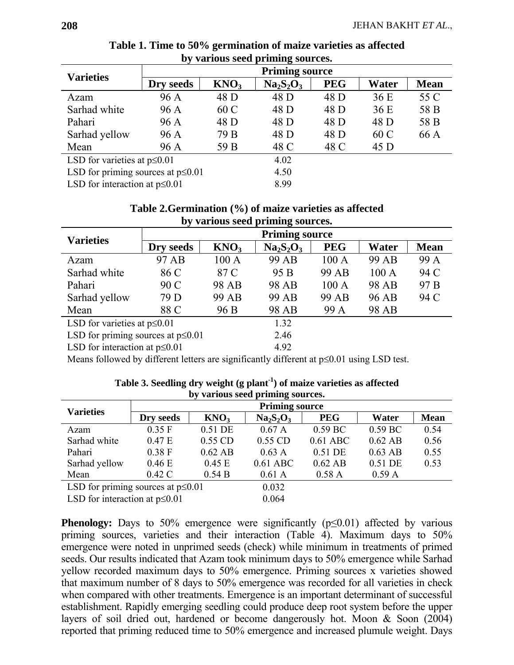| $\sigma$ y various secu priming sources. |                       |                  |           |            |       |             |  |  |
|------------------------------------------|-----------------------|------------------|-----------|------------|-------|-------------|--|--|
| <b>Varieties</b>                         | <b>Priming source</b> |                  |           |            |       |             |  |  |
|                                          | Dry seeds             | KNO <sub>3</sub> | $Na2S2O3$ | <b>PEG</b> | Water | <b>Mean</b> |  |  |
| Azam                                     | 96 A                  | 48 D             | 48 D      | 48 D       | 36 E  | 55 C        |  |  |
| Sarhad white                             | 96 A                  | 60 C             | 48 D      | 48 D       | 36 E  | 58 B        |  |  |
| Pahari                                   | 96 A                  | 48 D             | 48 D      | 48 D       | 48 D  | 58 B        |  |  |
| Sarhad yellow                            | 96 A                  | 79 B             | 48 D      | 48 D       | 60 C  | 66 A        |  |  |
| Mean                                     | 96 A                  | 59 B             | 48 C      | 48 C       | 45 D  |             |  |  |
| LSD for varieties at $p \le 0.01$        |                       |                  | 4.02      |            |       |             |  |  |
| LSD for priming sources at $p \le 0.01$  |                       |                  | 4.50      |            |       |             |  |  |
| LSD for interaction at $p \le 0.01$      |                       | 8.99             |           |            |       |             |  |  |

**Table 1. Time to 50% germination of maize varieties as affected by various seed priming sources.** 

| Table 2. Germination (%) of maize varieties as affected |  |
|---------------------------------------------------------|--|
| by various seed priming sources.                        |  |

| ెలా                                     |                       |                  |           |            |       |                 |  |  |
|-----------------------------------------|-----------------------|------------------|-----------|------------|-------|-----------------|--|--|
| <b>Varieties</b>                        | <b>Priming source</b> |                  |           |            |       |                 |  |  |
|                                         | Dry seeds             | KNO <sub>3</sub> | $Na2S2O3$ | <b>PEG</b> | Water | <b>Mean</b>     |  |  |
| Azam                                    | 97 AB                 | 100 A            | 99 AB     | 100 A      | 99 AB | 99 A            |  |  |
| Sarhad white                            | 86 C                  | 87 C             | 95 B      | 99 AB      | 100A  | 94 C            |  |  |
| Pahari                                  | 90 C                  | 98 AB            | 98 AB     | 100A       | 98 AB | 97 <sub>B</sub> |  |  |
| Sarhad yellow                           | 79 D                  | 99 AB            | 99 AB     | 99 AB      | 96 AB | 94 C            |  |  |
| Mean                                    | 88 C                  | 96 B             | 98 AB     | 99 A       | 98 AB |                 |  |  |
| LSD for varieties at $p \le 0.01$       |                       |                  | 1.32      |            |       |                 |  |  |
| LSD for priming sources at $p \le 0.01$ |                       |                  | 2.46      |            |       |                 |  |  |
| LSD for interaction at $p \le 0.01$     |                       | 4.92             |           |            |       |                 |  |  |

Means followed by different letters are significantly different at p≤0.01 using LSD test.

| $P = 1$                                 |                       |                  |            |            |           |             |  |  |  |
|-----------------------------------------|-----------------------|------------------|------------|------------|-----------|-------------|--|--|--|
| <b>Varieties</b>                        | <b>Priming source</b> |                  |            |            |           |             |  |  |  |
|                                         | Dry seeds             | KNO <sub>3</sub> | $Na2S2O3$  | <b>PEG</b> | Water     | <b>Mean</b> |  |  |  |
| Azam                                    | 0.35 F                | 0.51 DE          | 0.67A      | 0.59 BC    | $0.59$ BC | 0.54        |  |  |  |
| Sarhad white                            | 0.47E                 | 0.55 CD          | 0.55 CD    | $0.61$ ABC | $0.62$ AB | 0.56        |  |  |  |
| Pahari                                  | 0.38 F                | $0.62$ AB        | 0.63A      | 0.51 DE    | $0.63$ AB | 0.55        |  |  |  |
| Sarhad yellow                           | 0.46 E                | 0.45 E           | $0.61$ ABC | $0.62$ AB  | 0.51 DE   | 0.53        |  |  |  |
| Mean                                    | 0.42C                 | 0.54 B           | 0.61A      | 0.58A      | 0.59A     |             |  |  |  |
| LSD for priming sources at $p \le 0.01$ |                       |                  | 0.032      |            |           |             |  |  |  |
| LSD for interaction at $p \le 0.01$     |                       |                  | 0.064      |            |           |             |  |  |  |

| Table 3. Seedling dry weight $(g$ plant <sup>-1</sup> ) of maize varieties as affected |
|----------------------------------------------------------------------------------------|
| by various seed priming sources.                                                       |

**Phenology:** Days to 50% emergence were significantly  $(p \le 0.01)$  affected by various priming sources, varieties and their interaction (Table 4). Maximum days to 50% emergence were noted in unprimed seeds (check) while minimum in treatments of primed seeds. Our results indicated that Azam took minimum days to 50% emergence while Sarhad yellow recorded maximum days to 50% emergence. Priming sources x varieties showed that maximum number of 8 days to 50% emergence was recorded for all varieties in check when compared with other treatments. Emergence is an important determinant of successful establishment. Rapidly emerging seedling could produce deep root system before the upper layers of soil dried out, hardened or become dangerously hot. Moon & Soon (2004) reported that priming reduced time to 50% emergence and increased plumule weight. Days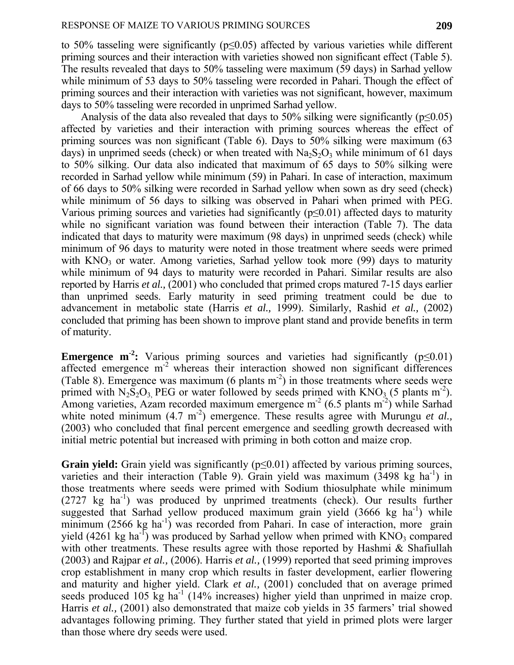to 50% tasseling were significantly (p≤0.05) affected by various varieties while different priming sources and their interaction with varieties showed non significant effect (Table 5). The results revealed that days to 50% tasseling were maximum (59 days) in Sarhad yellow while minimum of 53 days to 50% tasseling were recorded in Pahari. Though the effect of priming sources and their interaction with varieties was not significant, however, maximum days to 50% tasseling were recorded in unprimed Sarhad yellow.

Analysis of the data also revealed that days to 50% silking were significantly ( $p \le 0.05$ ) affected by varieties and their interaction with priming sources whereas the effect of priming sources was non significant (Table 6). Days to 50% silking were maximum (63 days) in unprimed seeds (check) or when treated with  $Na<sub>2</sub>S<sub>2</sub>O<sub>3</sub>$  while minimum of 61 days to 50% silking. Our data also indicated that maximum of 65 days to 50% silking were recorded in Sarhad yellow while minimum (59) in Pahari. In case of interaction, maximum of 66 days to 50% silking were recorded in Sarhad yellow when sown as dry seed (check) while minimum of 56 days to silking was observed in Pahari when primed with PEG. Various priming sources and varieties had significantly ( $p \le 0.01$ ) affected days to maturity while no significant variation was found between their interaction (Table 7). The data indicated that days to maturity were maximum (98 days) in unprimed seeds (check) while minimum of 96 days to maturity were noted in those treatment where seeds were primed with  $KNO<sub>3</sub>$  or water. Among varieties, Sarhad yellow took more (99) days to maturity while minimum of 94 days to maturity were recorded in Pahari. Similar results are also reported by Harris *et al.,* (2001) who concluded that primed crops matured 7-15 days earlier than unprimed seeds. Early maturity in seed priming treatment could be due to advancement in metabolic state (Harris *et al.,* 1999). Similarly, Rashid *et al.,* (2002) concluded that priming has been shown to improve plant stand and provide benefits in term of maturity.

**Emergence m<sup>-2</sup>:** Various priming sources and varieties had significantly ( $p \le 0.01$ ) affected emergence m<sup>-2</sup> whereas their interaction showed non significant differences (Table 8). Emergence was maximum (6 plants  $m<sup>-2</sup>$ ) in those treatments where seeds were primed with  $N_2S_2O_3$  PEG or water followed by seeds primed with  $KNO_3$  (5 plants m<sup>-2</sup>). Among varieties, Azam recorded maximum emergence  $m<sup>2</sup>$  (6.5 plants m<sup>-2</sup>) while Sarhad white noted minimum (4.7 m<sup>-2</sup>) emergence. These results agree with Murungu *et al.*, (2003) who concluded that final percent emergence and seedling growth decreased with initial metric potential but increased with priming in both cotton and maize crop.

**Grain yield:** Grain yield was significantly (p<0.01) affected by various priming sources, varieties and their interaction (Table 9). Grain yield was maximum (3498 kg ha<sup>-1</sup>) in those treatments where seeds were primed with Sodium thiosulphate while minimum  $(2727 \text{ kg } \text{ha}^{-1})$  was produced by unprimed treatments (check). Our results further suggested that Sarhad yellow produced maximum grain yield  $(3666 \text{ kg } \text{ha}^{-1})$  while minimum (2566 kg ha<sup>-1</sup>) was recorded from Pahari. In case of interaction, more grain yield  $(4261 \text{ kg} \text{ ha}^{-1})$  was produced by Sarhad yellow when primed with KNO<sub>3</sub> compared with other treatments. These results agree with those reported by Hashmi & Shafiullah (2003) and Rajpar *et al.,* (2006). Harris *et al.,* (1999) reported that seed priming improves crop establishment in many crop which results in faster development, earlier flowering and maturity and higher yield. Clark *et al.,* (2001) concluded that on average primed seeds produced  $105 \text{ kg } \text{ha}^{-1}$  (14% increases) higher yield than unprimed in maize crop. Harris *et al.*, (2001) also demonstrated that maize cob yields in 35 farmers' trial showed advantages following priming. They further stated that yield in primed plots were larger than those where dry seeds were used.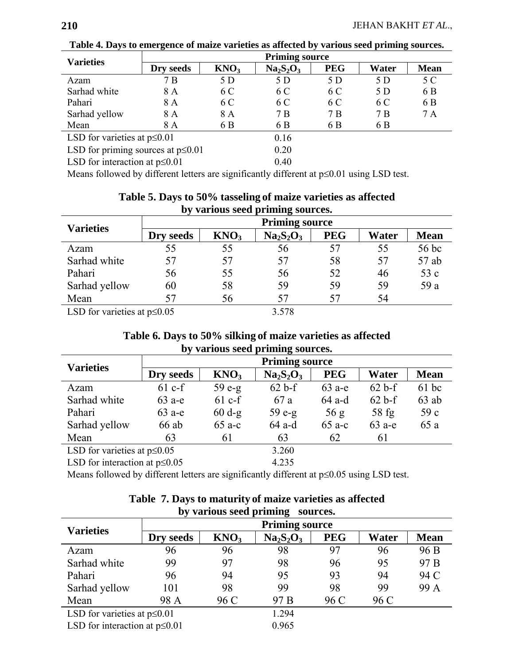| <b>Varieties</b>                        | <b>Priming source</b> |                  |           |            |       |             |  |  |
|-----------------------------------------|-----------------------|------------------|-----------|------------|-------|-------------|--|--|
|                                         | Dry seeds             | KNO <sub>3</sub> | $Na2S2O3$ | <b>PEG</b> | Water | <b>Mean</b> |  |  |
| Azam                                    | 7 B                   | 5 D              | 5 D       | 5 D        | 5 D   | 5 C         |  |  |
| Sarhad white                            | 8 A                   | 6 C              | 6 C       | 6 C        | 5 D   | 6 B         |  |  |
| Pahari                                  | 8 A                   | 6 C              | 6 C       | 6 C        | 6 C   | 6 B         |  |  |
| Sarhad yellow                           | 8 A                   | 8 A              | 7 B       | 7 B        | 7 B   | 7A          |  |  |
| Mean                                    | 8 A                   | 6 B              | 6 B       | 6 B        | 6 B   |             |  |  |
| LSD for varieties at $p \le 0.01$       |                       |                  | 0.16      |            |       |             |  |  |
| LSD for priming sources at $p \le 0.01$ |                       |                  | 0.20      |            |       |             |  |  |
| LSD for interaction at $p \le 0.01$     |                       |                  | 0.40      |            |       |             |  |  |

**Table 4. Days to emergence of maize varieties as affected by various seed priming sources.** 

Means followed by different letters are significantly different at p≤0.01 using LSD test.

| <b>Varieties</b>                  | <b>Priming source</b> |                  |           |            |       |             |  |  |
|-----------------------------------|-----------------------|------------------|-----------|------------|-------|-------------|--|--|
|                                   | Dry seeds             | KNO <sub>3</sub> | $Na2S2O3$ | <b>PEG</b> | Water | <b>Mean</b> |  |  |
| Azam                              | 55                    | 55               | 56        | 57         | 55    | 56 bc       |  |  |
| Sarhad white                      | 57                    | 57               | 57        | 58         | 57    | 57 ab       |  |  |
| Pahari                            | 56                    | 55               | 56        | 52         | 46    | 53 c        |  |  |
| Sarhad yellow                     | 60                    | 58               | 59        | 59         | 59    | 59 a        |  |  |
| Mean                              | 57                    | 56               | 57        | 57         | 54    |             |  |  |
| LSD for varieties at $p \le 0.05$ |                       |                  | 3.578     |            |       |             |  |  |

## **Table 5. Days to 50% tasseling of maize varieties as affected by various seed priming sources.**

## **Table 6. Days to 50% silking of maize varieties as affected by various seed priming sources.**

| <b>Varieties</b>                    | <b>Priming source</b> |                  |           |            |          |             |  |  |
|-------------------------------------|-----------------------|------------------|-----------|------------|----------|-------------|--|--|
|                                     | Dry seeds             | KNO <sub>3</sub> | $Na2S2O3$ | <b>PEG</b> | Water    | <b>Mean</b> |  |  |
| Azam                                | $61$ c-f              | $59e-g$          | $62 b-f$  | $63$ a-e   | $62 b-f$ | $61$ bc     |  |  |
| Sarhad white                        | $63$ a-e              | $61$ c-f         | 67 a      | 64 a-d     | $62 b-f$ | $63$ ab     |  |  |
| Pahari                              | $63$ a-e              | $60 d-g$         | $59e-g$   | 56 g       | $58$ fg  | 59c         |  |  |
| Sarhad yellow                       | 66 ab                 | $65$ a-c         | 64 a-d    | $65$ a-c   | $63$ a-e | 65 a        |  |  |
| Mean                                | 63                    | 61               | 63        | 62         | 61       |             |  |  |
| LSD for varieties at $p \le 0.05$   |                       |                  | 3.260     |            |          |             |  |  |
| LSD for interaction at $p \le 0.05$ |                       |                  | 4.235     |            |          |             |  |  |

Means followed by different letters are significantly different at p≤0.05 using LSD test.

| by various seed priming sources.    |                       |                  |           |            |       |                 |  |  |
|-------------------------------------|-----------------------|------------------|-----------|------------|-------|-----------------|--|--|
| <b>Varieties</b>                    | <b>Priming source</b> |                  |           |            |       |                 |  |  |
|                                     | Dry seeds             | KNO <sub>3</sub> | $Na2S2O3$ | <b>PEG</b> | Water | <b>Mean</b>     |  |  |
| Azam                                | 96                    | 96               | 98        | 97         | 96    | 96 B            |  |  |
| Sarhad white                        | 99                    | 97               | 98        | 96         | 95    | 97 <sub>B</sub> |  |  |
| Pahari                              | 96                    | 94               | 95        | 93         | 94    | 94 C            |  |  |
| Sarhad yellow                       | 101                   | 98               | 99        | 98         | 99    | 99 A            |  |  |
| Mean                                | 98 A                  | 96 C             | 97 B      | 96 C       | 96 C  |                 |  |  |
| LSD for varieties at $p \le 0.01$   |                       |                  | 1.294     |            |       |                 |  |  |
| LSD for interaction at $p \le 0.01$ |                       |                  | 0.965     |            |       |                 |  |  |

# **Table 7. Days to maturity of maize varieties as affected**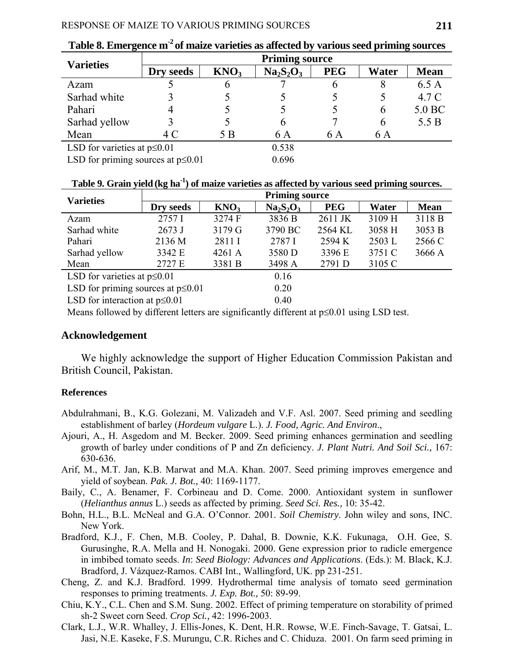| <b>Varieties</b>                        | <b>Priming source</b> |                  |           |            |       |             |  |
|-----------------------------------------|-----------------------|------------------|-----------|------------|-------|-------------|--|
|                                         | Dry seeds             | KNO <sub>3</sub> | $Na2S2O3$ | <b>PEG</b> | Water | <b>Mean</b> |  |
| Azam                                    |                       | O                |           | 6          | 8     | 6.5A        |  |
| Sarhad white                            |                       |                  |           |            |       | 4.7 C       |  |
| Pahari                                  |                       |                  |           |            | 6     | 5.0 BC      |  |
| Sarhad yellow                           |                       |                  | h         |            | 6     | 5.5 B       |  |
| Mean                                    | 4 C                   | 5 B              | 6 A       | 6 A        | 6 A   |             |  |
| LSD for varieties at $p \le 0.01$       |                       |                  | 0.538     |            |       |             |  |
| LSD for priming sources at $p \le 0.01$ |                       |                  | 0.696     |            |       |             |  |

Table 8. Emergence m<sup>-2</sup> of maize varieties as affected by various seed priming sources

#### **Table 9. Grain yield(kg ha-1) of maize varieties as affected by various seed priming sources.**

| <b>Varieties</b>                        | <b>Priming source</b> |                               |           |                                                     |          |             |  |  |
|-----------------------------------------|-----------------------|-------------------------------|-----------|-----------------------------------------------------|----------|-------------|--|--|
|                                         | Dry seeds             | KNO <sub>3</sub>              | $Na2S2O3$ | <b>PEG</b>                                          | Water    | <b>Mean</b> |  |  |
| Azam                                    | 2757I                 | 3274 F                        | 3836 B    | 2611 JK                                             | 3109 H   | 3118 B      |  |  |
| Sarhad white                            | $2673$ J              | 3179 G                        | 3790 BC   | 2564 KL                                             | 3058 H   | 3053 B      |  |  |
| Pahari                                  | 2136 M                | 2811 I                        | 2787 I    | 2594 K                                              | $2503$ L | 2566 C      |  |  |
| Sarhad yellow                           | 3342 E                | 4261 A                        | 3580 D    | 3396 E                                              | 3751 C   | 3666 A      |  |  |
| Mean                                    | 2727 E                | 3381 B                        | 3498 A    | 2791 D                                              | 3105 C   |             |  |  |
| LSD for varieties at $p \le 0.01$       |                       |                               | 0.16      |                                                     |          |             |  |  |
| LSD for priming sources at $p \le 0.01$ |                       |                               | 0.20      |                                                     |          |             |  |  |
| LSD for interaction at $p \le 0.01$     |                       |                               | 0.40      |                                                     |          |             |  |  |
| $0.11$ $1.1$ $1.00$ $1.1$               | $\cdot$ $\sim$        | $\mathbf{1} \cdot \mathbf{A}$ |           | $\mathbf{r}$ $\mathbf{r}$ $\mathbf{r}$ $\mathbf{r}$ |          |             |  |  |

Means followed by different letters are significantly different at  $p \le 0.01$  using LSD test.

#### **Acknowledgement**

We highly acknowledge the support of Higher Education Commission Pakistan and British Council, Pakistan.

#### **References**

- Abdulrahmani, B., K.G. Golezani, M. Valizadeh and V.F. Asl. 2007. Seed priming and seedling establishment of barley (*Hordeum vulgare* L.). *J. Food, Agric. And Environ*.,
- Ajouri, A., H. Asgedom and M. Becker. 2009. Seed priming enhances germination and seedling growth of barley under conditions of P and Zn deficiency. *J. Plant Nutri. And Soil Sci.,* 167: 630-636.
- Arif, M., M.T. Jan, K.B. Marwat and M.A. Khan. 2007. Seed priming improves emergence and yield of soybean. *Pak. J. Bot.,* 40: 1169-1177.
- Baily, C., A. Benamer, F. Corbineau and D. Come. 2000. Antioxidant system in sunflower (*Helianthus annus* L.) seeds as affected by priming. *Seed Sci. Res.,* 10: 35-42.
- Bohn, H.L., B.L. McNeal and G.A. O'Connor. 2001. *Soil Chemistry*. John wiley and sons, INC. New York.
- Bradford, K.J., F. Chen, M.B. Cooley, P. Dahal, B. Downie, K.K. Fukunaga, O.H. Gee, S. Gurusinghe, R.A. Mella and H. Nonogaki. 2000. Gene expression prior to radicle emergence in imbibed tomato seeds. *In*: *Seed Biology: Advances and Applications*. (Eds.): M. Black, K.J. Bradford, J. Vázquez-Ramos. CABI Int., Wallingford, UK. pp 231-251.
- Cheng, Z. and K.J. Bradford. 1999. Hydrothermal time analysis of tomato seed germination responses to priming treatments. *J. Exp. Bot.,* 50: 89-99.
- Chiu, K.Y., C.L. Chen and S.M. Sung. 2002. Effect of priming temperature on storability of primed sh-2 Sweet corn Seed. *Crop Sci.,* 42: 1996-2003.
- Clark, L.J., W.R. Whalley, J. Ellis-Jones, K. Dent, H.R. Rowse, W.E. Finch-Savage, T. Gatsai, L. Jasi, N.E. Kaseke, F.S. Murungu, C.R. Riches and C. Chiduza. 2001. On farm seed priming in